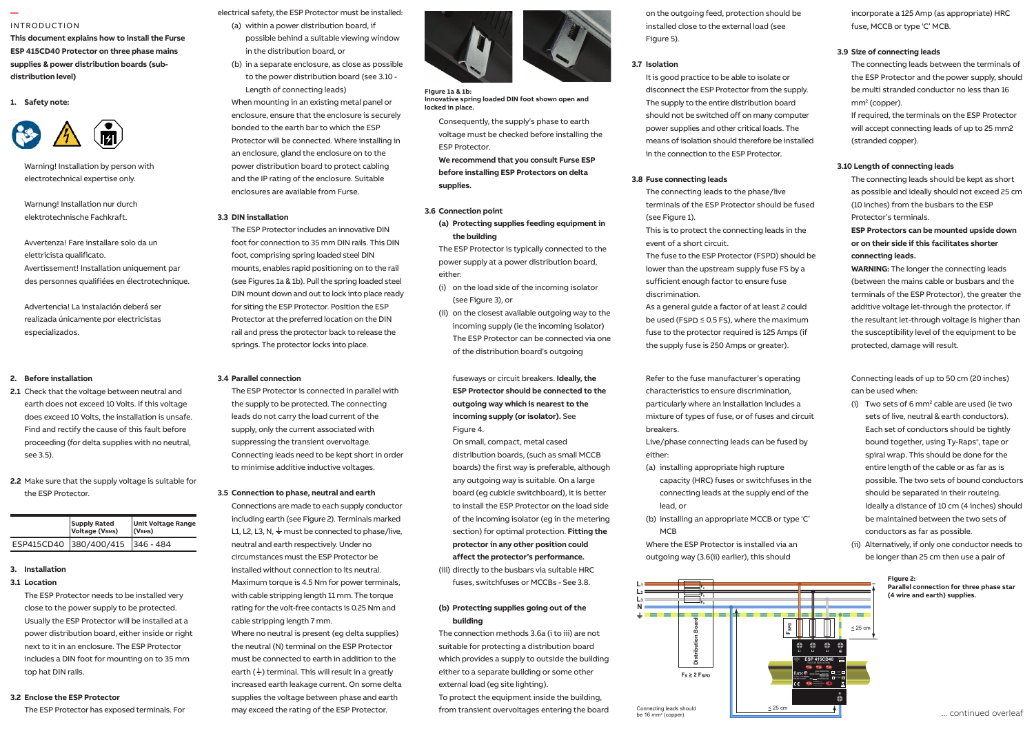#### INTRODUCTION

**—** 

**This document explains how to install the Furse ESP 415CD40 Protector on three phase mains**  supplies & power distribution boards (subdistribution level)

**1. Safety note:**



Warning! Installation by person with electrotechnical expertise only. - on the load side of the incoming

Warnung! Installation nur durch elektrotechnische Fachkraft.

Avvertenza! Fare installare solo da un elettricista qualificato. Avertissement! Installation uniquement par lating the should be the showld be the des personnes qualifiées en électrotechnique. (terminals can accept up to 25 mm2).

Advertencia! La instalación deberá ser realizada únicamente por electricistas **in length. The achieve de la pa**r especializados. Always handle cables by their insulation. their cables during a storm. berá ser leads as short as short as short as short as short as short as short as short as short as short as sh<br>International as short as short as short as short as short as short as an ann ann ann ann an an am an am an an remote display variant which permits optimum positioning of both protector

#### supply to be protected, either within the **2. Before installation**

Find and rectify the cause of this fault before sup **2.1** Check that the voltage between neutral and **2.1** Check that the voltage between neutral and earth does not exceed 10 Volts. If this voltage **the stripping of the stripping** does exceed 10 Volts, the installation is unsafe. proceeding (for delta supplies with no neutral, see 3.5).

**2.2** Make sure that the supply voltage is suitable for the ESP Protector.

|                        | <b>Supply Rated</b><br>Voltage (VRMS) | <b>Unit Voltage Range</b><br>(VRMS) |
|------------------------|---------------------------------------|-------------------------------------|
| ESP415CD40 380/400/415 |                                       | $ 346 - 484$                        |

#### **3. Installation**

#### **3.1 Location**

 The ESP Protector needs to be installed very close to the power supply to be protected. Usually the ESP Protector will be installed at a power distribution board, either inside or right next to it in an enclosure. The ESP Protector includes a DIN foot for mounting on to 35 mm top hat DIN rails.

#### **3.2 Enclose the ESP Protector**

The ESP Protector has exposed terminals. For

electrical safety, the ESP Protector must be installed: (a) within a power distribution board, if

- possible behind a suitable viewing window in the distribution board, or
- (b) in a separate enclosure, as close as possible to the power distribution board (see 3.10 - Length of connecting leads)

enclosures are available from Furse. 1 enclosure, ensure that the enclosure is securely When mounting in an existing metal panel or bonded to the earth bar to which the ESP Protector will be connected. Where installing in an enclosure, gland the enclosure on to the power distribution board to protect cabling and the IP rating of the enclosure. Suitable

#### **3.3 DIN installation**

 The ESP Protector includes an innovative DIN foot for connection to 35 mm DIN rails. This DIN foot, comprising spring loaded steel DIN mounts, enables rapid positioning on to the rail (see Figures 1a & 1b). Pull the spring loaded steel DIN mount down and out to lock into place ready for siting the ESP Protector. Position the ESP Protector at the preferred location on the DIN rail and press the protector back to release the springs. The protector locks into place.

#### 1.11 Maximum torque for power terminals is **3.4 Parallel connection**

 The ESP Protector is connected in parallel with the supply to be protected. The connecting leads do not carry the load current of the supply, only the current associated with suppressing the transient overvoltage. Connecting leads need to be kept short in order to minimise additive inductive voltages.

#### **3.5 Connection to phase, neutral and earth**

 Connections are made to each supply conductor including earth (see Figure 2). Terminals marked L1, L2, L3, N,  $\frac{1}{2}$  must be connected to phase/live, neutral and earth respectively. Under no circumstances must the ESP Protector be installed without connection to its neutral. Maximum torque is 4.5 Nm for power terminals, with cable stripping length 11 mm. The torque rating for the volt-free contacts is 0.25 Nm and cable stripping length 7 mm. Where no neutral is present (eg delta supplies) the neutral (N) terminal on the ESP Protector must be connected to earth in addition to the earth ( $\frac{1}{2}$ ) terminal. This will result in a greatly increased earth leakage current. On some delta supplies the voltage between phase and earth may exceed the rating of the ESP Protector.



**Figure 1a & 1b: Innovative spring loaded DIN foot shown open and locked in place.**

Consequently, the supply's phase to earth voltage must be checked before installing the ESP Protector.

 **We recommend that you consult Furse ESP before installing ESP Protectors on delta supplies.**

#### **3.6 Connection point**

**(a) Protecting supplies feeding equipment in the building**

 The ESP Protector is typically connected to the power supply at a power distribution board, either:

- (i) on the load side of the incoming isolator (see Figure 3), or
- (ii) on the closest available outgoing way to the incoming supply (ie the incoming isolator) The ESP Protector can be connected via one of the distribution board's outgoing

fuseways or circuit breakers. **Ideally, the ESP Protector should be connected to the outgoing way which is nearest to the incoming supply (or isolator).** See Figure 4.

 On small, compact, metal cased distribution boards, (such as small MCCB boards) the first way is preferable, although any outgoing way is suitable. On a large board (eg cubicle switchboard), it is better to install the ESP Protector on the load side of the incoming isolator (eg in the metering section) for optimal protection. **Fitting the protector in any other position could affect the protector's performance.**

(iii) directly to the busbars via suitable HRC fuses, switchfuses or MCCBs - See 3.8.

#### **(b) Protecting supplies going out of the building**

 The connection methods 3.6a (i to iii) are not suitable for protecting a distribution board which provides a supply to outside the building either to a separate building or some other external load (eg site lighting). To protect the equipment inside the building, from transient overvoltages entering the board on the outgoing feed, protection should be installed close to the external load (see Figure 5).

#### **3.7 Isolation**

 It is good practice to be able to isolate or disconnect the ESP Protector from the supply. The supply to the entire distribution board should not be switched off on many computer power supplies and other critical loads. The means of isolation should therefore be installed in the connection to the ESP Protector.

#### **3.8 Fuse connecting leads**

 The connecting leads to the phase/live terminals of the ESP Protector should be fused (see Figure 1).

 This is to protect the connecting leads in the event of a short circuit.

 The fuse to the ESP Protector (FSPD) should be lower than the upstream supply fuse FS by a sufficient enough factor to ensure fuse discrimination.

 As a general guide a factor of at least 2 could be used ( $F<sub>SPD</sub> \le 0.5 F<sub>S</sub>$ ), where the maximum fuse to the protector required is 125 Amps (if the supply fuse is 250 Amps or greater).

 Refer to the fuse manufacturer's operating characteristics to ensure discrimination, particularly where an installation includes a mixture of types of fuse, or of fuses and circuit breakers.

 Live/phase connecting leads can be fused by either:

- (a) installing appropriate high rupture
- capacity (HRC) fuses or switchfuses in the connecting leads at the supply end of the lead, or
- (b) installing an appropriate MCCB or type 'C' MCB
- Where the ESP Protector is installed via an outgoing way (3.6(ii) earlier), this should



incorporate a 125 Amp (as appropriate) HRC fuse, MCCB or type 'C' MCB.

#### **3.9 Size of connecting leads**

 The connecting leads between the terminals of the ESP Protector and the power supply, should be multi stranded conductor no less than 16 mm2 (copper).

 If required, the terminals on the ESP Protector will accept connecting leads of up to 25 mm2 (stranded copper).

#### **3.10 Length of connecting leads**

 The connecting leads should be kept as short as possible and ideally should not exceed 25 cm (10 inches) from the busbars to the ESP Protector's terminals. **ESP Protectors can be mounted upside down** 

**or on their side if this facilitates shorter connecting leads.**

 **WARNING:** The longer the connecting leads (between the mains cable or busbars and the terminals of the ESP Protector), the greater the additive voltage let-through the protector. If the resultant let-through voltage is higher than the susceptibility level of the equipment to be protected, damage will result.

 Connecting leads of up to 50 cm (20 inches) can be used when:

- $(i)$  Two sets of 6 mm<sup>2</sup> cable are used (ie two sets of live, neutral & earth conductors). Each set of conductors should be tightly bound together, using Ty-Raps® , tape or spiral wrap. This should be done for the entire length of the cable or as far as is possible. The two sets of bound conductors should be separated in their routeing. Ideally a distance of 10 cm (4 inches) should be maintained between the two sets of conductors as far as possible.
- (ii) Alternatively, if only one conductor needs to be longer than 25 cm then use a pair of

#### **Figure 2: Parallel connection for three phase star (4 wire and earth) supplies.**